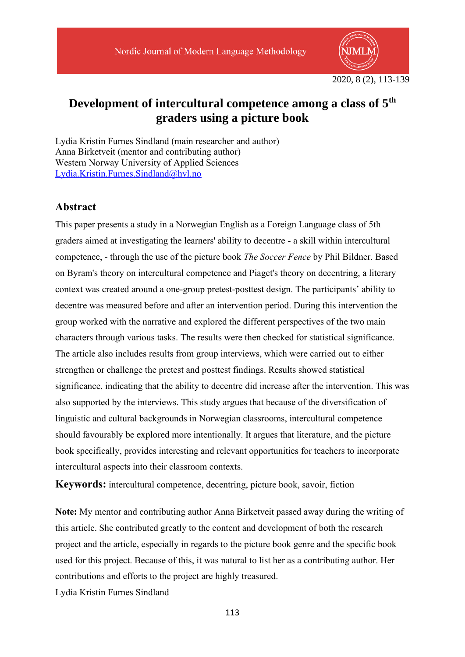

# **Development of intercultural competence among a class of 5th graders using a picture book**

Lydia Kristin Furnes Sindland (main researcher and author) Anna Birketveit (mentor and contributing author) Western Norway University of Applied Sciences [Lydia.Kristin.Furnes.Sindland@hvl.no](mailto:Lydia.Kristin.Furnes.Sindland@hvl.no)

# **Abstract**

This paper presents a study in a Norwegian English as a Foreign Language class of 5th graders aimed at investigating the learners' ability to decentre - a skill within intercultural competence, - through the use of the picture book *The Soccer Fence* by Phil Bildner. Based on Byram's theory on intercultural competence and Piaget's theory on decentring, a literary context was created around a one-group pretest-posttest design. The participants' ability to decentre was measured before and after an intervention period. During this intervention the group worked with the narrative and explored the different perspectives of the two main characters through various tasks. The results were then checked for statistical significance. The article also includes results from group interviews, which were carried out to either strengthen or challenge the pretest and posttest findings. Results showed statistical significance, indicating that the ability to decentre did increase after the intervention. This was also supported by the interviews. This study argues that because of the diversification of linguistic and cultural backgrounds in Norwegian classrooms, intercultural competence should favourably be explored more intentionally. It argues that literature, and the picture book specifically, provides interesting and relevant opportunities for teachers to incorporate intercultural aspects into their classroom contexts.

**Keywords:** intercultural competence, decentring, picture book, savoir, fiction

**Note:** My mentor and contributing author Anna Birketveit passed away during the writing of this article. She contributed greatly to the content and development of both the research project and the article, especially in regards to the picture book genre and the specific book used for this project. Because of this, it was natural to list her as a contributing author. Her contributions and efforts to the project are highly treasured.

Lydia Kristin Furnes Sindland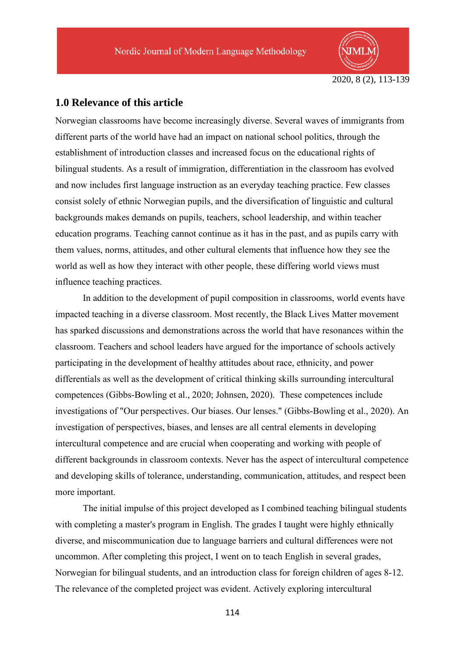

# **1.0 Relevance of this article**

Norwegian classrooms have become increasingly diverse. Several waves of immigrants from different parts of the world have had an impact on national school politics, through the establishment of introduction classes and increased focus on the educational rights of bilingual students. As a result of immigration, differentiation in the classroom has evolved and now includes first language instruction as an everyday teaching practice. Few classes consist solely of ethnic Norwegian pupils, and the diversification of linguistic and cultural backgrounds makes demands on pupils, teachers, school leadership, and within teacher education programs. Teaching cannot continue as it has in the past, and as pupils carry with them values, norms, attitudes, and other cultural elements that influence how they see the world as well as how they interact with other people, these differing world views must influence teaching practices.

In addition to the development of pupil composition in classrooms, world events have impacted teaching in a diverse classroom. Most recently, the Black Lives Matter movement has sparked discussions and demonstrations across the world that have resonances within the classroom. Teachers and school leaders have argued for the importance of schools actively participating in the development of healthy attitudes about race, ethnicity, and power differentials as well as the development of critical thinking skills surrounding intercultural competences (Gibbs-Bowling et al., 2020; Johnsen, 2020). These competences include investigations of "Our perspectives. Our biases. Our lenses." (Gibbs-Bowling et al., 2020). An investigation of perspectives, biases, and lenses are all central elements in developing intercultural competence and are crucial when cooperating and working with people of different backgrounds in classroom contexts. Never has the aspect of intercultural competence and developing skills of tolerance, understanding, communication, attitudes, and respect been more important.

The initial impulse of this project developed as I combined teaching bilingual students with completing a master's program in English. The grades I taught were highly ethnically diverse, and miscommunication due to language barriers and cultural differences were not uncommon. After completing this project, I went on to teach English in several grades, Norwegian for bilingual students, and an introduction class for foreign children of ages 8-12. The relevance of the completed project was evident. Actively exploring intercultural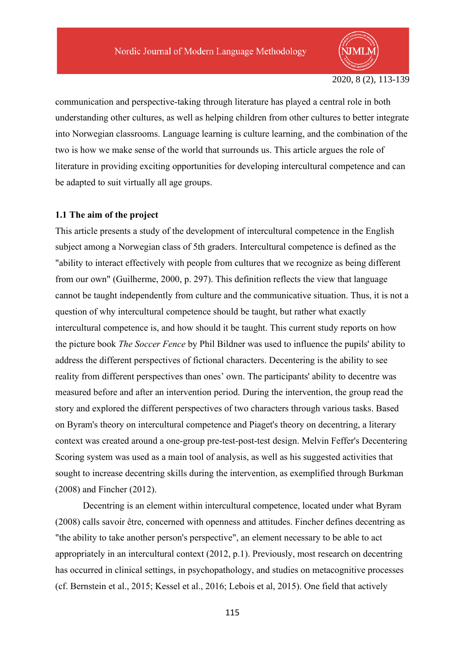

communication and perspective-taking through literature has played a central role in both understanding other cultures, as well as helping children from other cultures to better integrate into Norwegian classrooms. Language learning is culture learning, and the combination of the two is how we make sense of the world that surrounds us. This article argues the role of literature in providing exciting opportunities for developing intercultural competence and can be adapted to suit virtually all age groups.

#### **1.1 The aim of the project**

This article presents a study of the development of intercultural competence in the English subject among a Norwegian class of 5th graders. Intercultural competence is defined as the "ability to interact effectively with people from cultures that we recognize as being different from our own" (Guilherme, 2000, p. 297). This definition reflects the view that language cannot be taught independently from culture and the communicative situation. Thus, it is not a question of why intercultural competence should be taught, but rather what exactly intercultural competence is, and how should it be taught. This current study reports on how the picture book *The Soccer Fence* by Phil Bildner was used to influence the pupils' ability to address the different perspectives of fictional characters. Decentering is the ability to see reality from different perspectives than ones' own. The participants' ability to decentre was measured before and after an intervention period. During the intervention, the group read the story and explored the different perspectives of two characters through various tasks. Based on Byram's theory on intercultural competence and Piaget's theory on decentring, a literary context was created around a one-group pre-test-post-test design. Melvin Feffer's Decentering Scoring system was used as a main tool of analysis, as well as his suggested activities that sought to increase decentring skills during the intervention, as exemplified through Burkman (2008) and Fincher (2012).

Decentring is an element within intercultural competence, located under what Byram (2008) calls savoir être, concerned with openness and attitudes. Fincher defines decentring as "the ability to take another person's perspective", an element necessary to be able to act appropriately in an intercultural context (2012, p.1). Previously, most research on decentring has occurred in clinical settings, in psychopathology, and studies on metacognitive processes (cf. Bernstein et al., 2015; Kessel et al., 2016; Lebois et al, 2015). One field that actively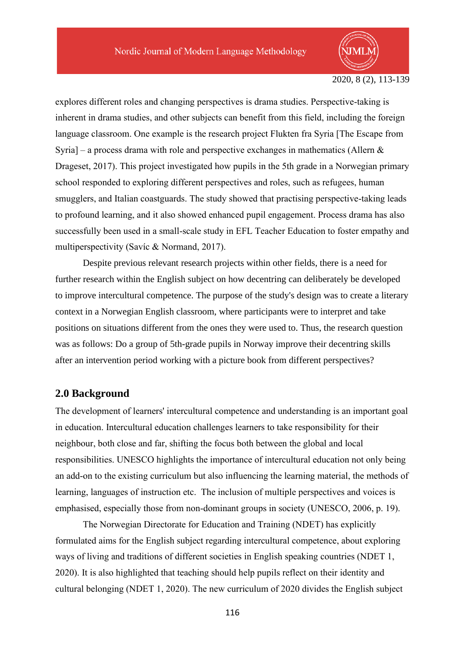

explores different roles and changing perspectives is drama studies. Perspective-taking is inherent in drama studies, and other subjects can benefit from this field, including the foreign language classroom. One example is the research project Flukten fra Syria [The Escape from Syria] – a process drama with role and perspective exchanges in mathematics (Allern  $\&$ Drageset, 2017). This project investigated how pupils in the 5th grade in a Norwegian primary school responded to exploring different perspectives and roles, such as refugees, human smugglers, and Italian coastguards. The study showed that practising perspective-taking leads to profound learning, and it also showed enhanced pupil engagement. Process drama has also successfully been used in a small-scale study in EFL Teacher Education to foster empathy and multiperspectivity (Savíc & Normand, 2017).

Despite previous relevant research projects within other fields, there is a need for further research within the English subject on how decentring can deliberately be developed to improve intercultural competence. The purpose of the study's design was to create a literary context in a Norwegian English classroom, where participants were to interpret and take positions on situations different from the ones they were used to. Thus, the research question was as follows: Do a group of 5th-grade pupils in Norway improve their decentring skills after an intervention period working with a picture book from different perspectives?

## **2.0 Background**

The development of learners' intercultural competence and understanding is an important goal in education. Intercultural education challenges learners to take responsibility for their neighbour, both close and far, shifting the focus both between the global and local responsibilities. UNESCO highlights the importance of intercultural education not only being an add-on to the existing curriculum but also influencing the learning material, the methods of learning, languages of instruction etc. The inclusion of multiple perspectives and voices is emphasised, especially those from non-dominant groups in society (UNESCO, 2006, p. 19).

The Norwegian Directorate for Education and Training (NDET) has explicitly formulated aims for the English subject regarding intercultural competence, about exploring ways of living and traditions of different societies in English speaking countries (NDET 1, 2020). It is also highlighted that teaching should help pupils reflect on their identity and cultural belonging (NDET 1, 2020). The new curriculum of 2020 divides the English subject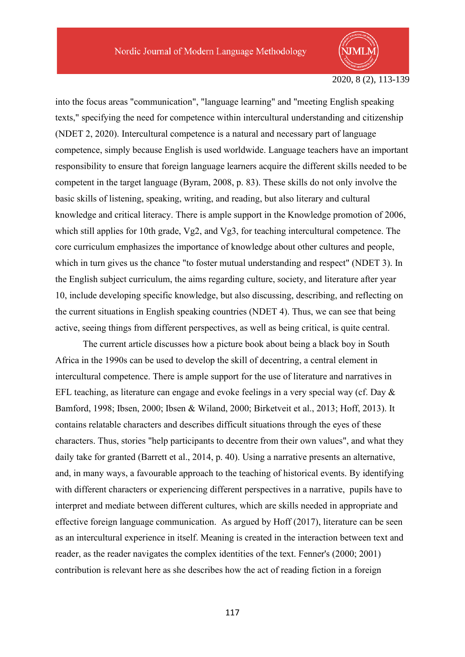

into the focus areas "communication", "language learning" and "meeting English speaking texts," specifying the need for competence within intercultural understanding and citizenship (NDET 2, 2020). Intercultural competence is a natural and necessary part of language competence, simply because English is used worldwide. Language teachers have an important responsibility to ensure that foreign language learners acquire the different skills needed to be competent in the target language (Byram, 2008, p. 83). These skills do not only involve the basic skills of listening, speaking, writing, and reading, but also literary and cultural knowledge and critical literacy. There is ample support in the Knowledge promotion of 2006, which still applies for 10th grade, Vg2, and Vg3, for teaching intercultural competence. The core curriculum emphasizes the importance of knowledge about other cultures and people, which in turn gives us the chance "to foster mutual understanding and respect" (NDET 3). In the English subject curriculum, the aims regarding culture, society, and literature after year 10, include developing specific knowledge, but also discussing, describing, and reflecting on the current situations in English speaking countries (NDET 4). Thus, we can see that being active, seeing things from different perspectives, as well as being critical, is quite central.

The current article discusses how a picture book about being a black boy in South Africa in the 1990s can be used to develop the skill of decentring, a central element in intercultural competence. There is ample support for the use of literature and narratives in EFL teaching, as literature can engage and evoke feelings in a very special way (cf. Day & Bamford, 1998; Ibsen, 2000; Ibsen & Wiland, 2000; Birketveit et al., 2013; Hoff, 2013). It contains relatable characters and describes difficult situations through the eyes of these characters. Thus, stories "help participants to decentre from their own values", and what they daily take for granted (Barrett et al., 2014, p. 40). Using a narrative presents an alternative, and, in many ways, a favourable approach to the teaching of historical events. By identifying with different characters or experiencing different perspectives in a narrative, pupils have to interpret and mediate between different cultures, which are skills needed in appropriate and effective foreign language communication. As argued by Hoff (2017), literature can be seen as an intercultural experience in itself. Meaning is created in the interaction between text and reader, as the reader navigates the complex identities of the text. Fenner's (2000; 2001) contribution is relevant here as she describes how the act of reading fiction in a foreign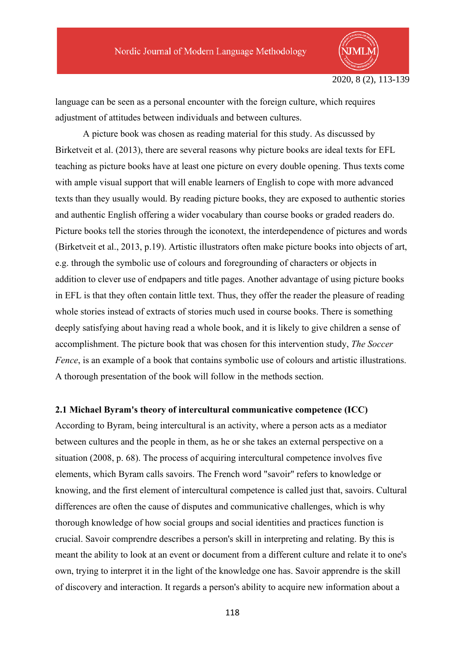

language can be seen as a personal encounter with the foreign culture, which requires adjustment of attitudes between individuals and between cultures.

A picture book was chosen as reading material for this study. As discussed by Birketveit et al. (2013), there are several reasons why picture books are ideal texts for EFL teaching as picture books have at least one picture on every double opening. Thus texts come with ample visual support that will enable learners of English to cope with more advanced texts than they usually would. By reading picture books, they are exposed to authentic stories and authentic English offering a wider vocabulary than course books or graded readers do. Picture books tell the stories through the iconotext, the interdependence of pictures and words (Birketveit et al., 2013, p.19). Artistic illustrators often make picture books into objects of art, e.g. through the symbolic use of colours and foregrounding of characters or objects in addition to clever use of endpapers and title pages. Another advantage of using picture books in EFL is that they often contain little text. Thus, they offer the reader the pleasure of reading whole stories instead of extracts of stories much used in course books. There is something deeply satisfying about having read a whole book, and it is likely to give children a sense of accomplishment. The picture book that was chosen for this intervention study, *The Soccer Fence*, is an example of a book that contains symbolic use of colours and artistic illustrations. A thorough presentation of the book will follow in the methods section.

#### **2.1 Michael Byram's theory of intercultural communicative competence (ICC)**

According to Byram, being intercultural is an activity, where a person acts as a mediator between cultures and the people in them, as he or she takes an external perspective on a situation (2008, p. 68). The process of acquiring intercultural competence involves five elements, which Byram calls savoirs. The French word "savoir" refers to knowledge or knowing, and the first element of intercultural competence is called just that, savoirs. Cultural differences are often the cause of disputes and communicative challenges, which is why thorough knowledge of how social groups and social identities and practices function is crucial. Savoir comprendre describes a person's skill in interpreting and relating. By this is meant the ability to look at an event or document from a different culture and relate it to one's own, trying to interpret it in the light of the knowledge one has. Savoir apprendre is the skill of discovery and interaction. It regards a person's ability to acquire new information about a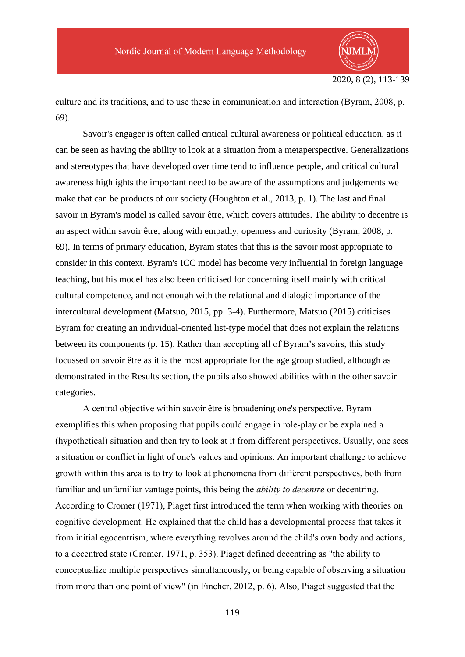

culture and its traditions, and to use these in communication and interaction (Byram, 2008, p. 69).

Savoir's engager is often called critical cultural awareness or political education, as it can be seen as having the ability to look at a situation from a metaperspective. Generalizations and stereotypes that have developed over time tend to influence people, and critical cultural awareness highlights the important need to be aware of the assumptions and judgements we make that can be products of our society (Houghton et al., 2013, p. 1). The last and final savoir in Byram's model is called savoir être, which covers attitudes. The ability to decentre is an aspect within savoir être, along with empathy, openness and curiosity (Byram, 2008, p. 69). In terms of primary education, Byram states that this is the savoir most appropriate to consider in this context. Byram's ICC model has become very influential in foreign language teaching, but his model has also been criticised for concerning itself mainly with critical cultural competence, and not enough with the relational and dialogic importance of the intercultural development (Matsuo, 2015, pp. 3-4). Furthermore, Matsuo (2015) criticises Byram for creating an individual-oriented list-type model that does not explain the relations between its components (p. 15). Rather than accepting all of Byram's savoirs, this study focussed on savoir être as it is the most appropriate for the age group studied, although as demonstrated in the Results section, the pupils also showed abilities within the other savoir categories.

A central objective within savoir être is broadening one's perspective. Byram exemplifies this when proposing that pupils could engage in role-play or be explained a (hypothetical) situation and then try to look at it from different perspectives. Usually, one sees a situation or conflict in light of one's values and opinions. An important challenge to achieve growth within this area is to try to look at phenomena from different perspectives, both from familiar and unfamiliar vantage points, this being the *ability to decentre* or decentring. According to Cromer (1971), Piaget first introduced the term when working with theories on cognitive development. He explained that the child has a developmental process that takes it from initial egocentrism, where everything revolves around the child's own body and actions, to a decentred state (Cromer, 1971, p. 353). Piaget defined decentring as "the ability to conceptualize multiple perspectives simultaneously, or being capable of observing a situation from more than one point of view" (in Fincher, 2012, p. 6). Also, Piaget suggested that the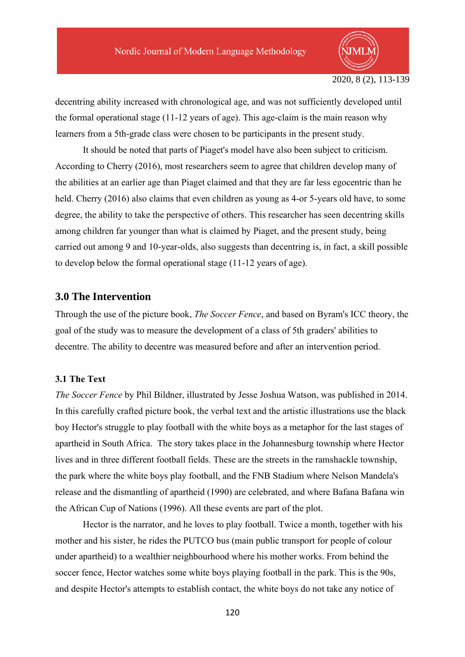

decentring ability increased with chronological age, and was not sufficiently developed until the formal operational stage (11-12 years of age). This age-claim is the main reason why learners from a 5th-grade class were chosen to be participants in the present study.

It should be noted that parts of Piaget's model have also been subject to criticism. According to Cherry (2016), most researchers seem to agree that children develop many of the abilities at an earlier age than Piaget claimed and that they are far less egocentric than he held. Cherry (2016) also claims that even children as young as 4-or 5-years old have, to some degree, the ability to take the perspective of others. This researcher has seen decentring skills among children far younger than what is claimed by Piaget, and the present study, being carried out among 9 and 10-year-olds, also suggests than decentring is, in fact, a skill possible to develop below the formal operational stage (11-12 years of age).

# **3.0 The Intervention**

Through the use of the picture book, *The Soccer Fence*, and based on Byram's ICC theory, the goal of the study was to measure the development of a class of 5th graders' abilities to decentre. The ability to decentre was measured before and after an intervention period.

### **3.1 The Text**

*The Soccer Fence* by Phil Bildner, illustrated by Jesse Joshua Watson, was published in 2014. In this carefully crafted picture book, the verbal text and the artistic illustrations use the black boy Hector's struggle to play football with the white boys as a metaphor for the last stages of apartheid in South Africa. The story takes place in the Johannesburg township where Hector lives and in three different football fields. These are the streets in the ramshackle township, the park where the white boys play football, and the FNB Stadium where Nelson Mandela's release and the dismantling of apartheid (1990) are celebrated, and where Bafana Bafana win the African Cup of Nations (1996). All these events are part of the plot.

Hector is the narrator, and he loves to play football. Twice a month, together with his mother and his sister, he rides the PUTCO bus (main public transport for people of colour under apartheid) to a wealthier neighbourhood where his mother works. From behind the soccer fence, Hector watches some white boys playing football in the park. This is the 90s, and despite Hector's attempts to establish contact, the white boys do not take any notice of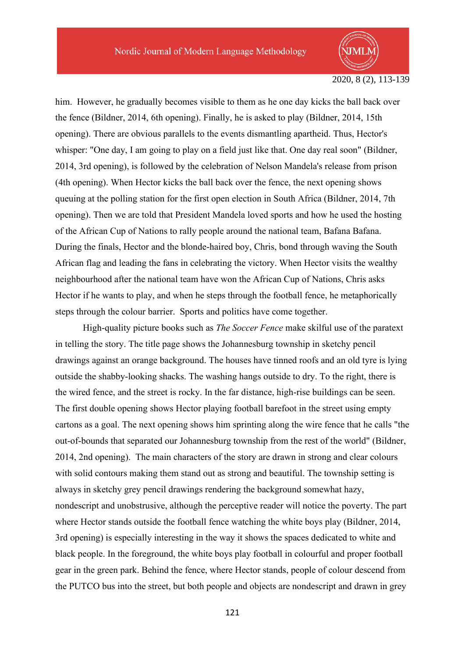

him. However, he gradually becomes visible to them as he one day kicks the ball back over the fence (Bildner, 2014, 6th opening). Finally, he is asked to play (Bildner, 2014, 15th opening). There are obvious parallels to the events dismantling apartheid. Thus, Hector's whisper: "One day, I am going to play on a field just like that. One day real soon" (Bildner, 2014, 3rd opening), is followed by the celebration of Nelson Mandela's release from prison (4th opening). When Hector kicks the ball back over the fence, the next opening shows queuing at the polling station for the first open election in South Africa (Bildner, 2014, 7th opening). Then we are told that President Mandela loved sports and how he used the hosting of the African Cup of Nations to rally people around the national team, Bafana Bafana. During the finals, Hector and the blonde-haired boy, Chris, bond through waving the South African flag and leading the fans in celebrating the victory. When Hector visits the wealthy neighbourhood after the national team have won the African Cup of Nations, Chris asks Hector if he wants to play, and when he steps through the football fence, he metaphorically steps through the colour barrier. Sports and politics have come together.

High-quality picture books such as *The Soccer Fence* make skilful use of the paratext in telling the story. The title page shows the Johannesburg township in sketchy pencil drawings against an orange background. The houses have tinned roofs and an old tyre is lying outside the shabby-looking shacks. The washing hangs outside to dry. To the right, there is the wired fence, and the street is rocky. In the far distance, high-rise buildings can be seen. The first double opening shows Hector playing football barefoot in the street using empty cartons as a goal. The next opening shows him sprinting along the wire fence that he calls "the out-of-bounds that separated our Johannesburg township from the rest of the world" (Bildner, 2014, 2nd opening). The main characters of the story are drawn in strong and clear colours with solid contours making them stand out as strong and beautiful. The township setting is always in sketchy grey pencil drawings rendering the background somewhat hazy, nondescript and unobstrusive, although the perceptive reader will notice the poverty. The part where Hector stands outside the football fence watching the white boys play (Bildner, 2014, 3rd opening) is especially interesting in the way it shows the spaces dedicated to white and black people. In the foreground, the white boys play football in colourful and proper football gear in the green park. Behind the fence, where Hector stands, people of colour descend from the PUTCO bus into the street, but both people and objects are nondescript and drawn in grey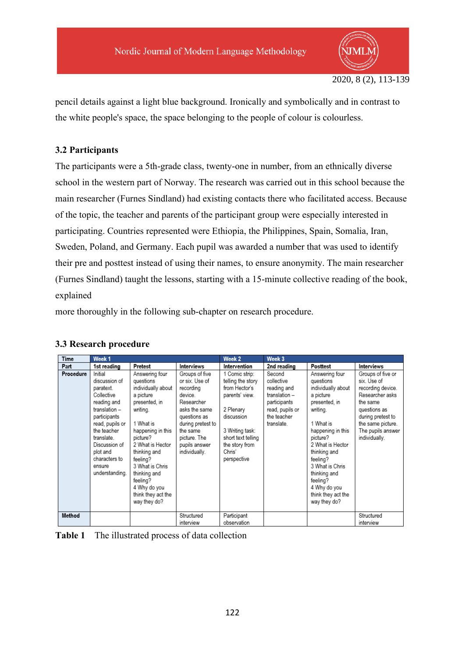

pencil details against a light blue background. Ironically and symbolically and in contrast to the white people's space, the space belonging to the people of colour is colourless.

# **3.2 Participants**

The participants were a 5th-grade class, twenty-one in number, from an ethnically diverse school in the western part of Norway. The research was carried out in this school because the main researcher (Furnes Sindland) had existing contacts there who facilitated access. Because of the topic, the teacher and parents of the participant group were especially interested in participating. Countries represented were Ethiopia, the Philippines, Spain, Somalia, Iran, Sweden, Poland, and Germany. Each pupil was awarded a number that was used to identify their pre and posttest instead of using their names, to ensure anonymity. The main researcher (Furnes Sindland) taught the lessons, starting with a 15-minute collective reading of the book, explained

more thoroughly in the following sub-chapter on research procedure.

| Time      | Week 1                                                                                                                                                                                                                        |                                                                                                                                                                                                                                                                                                |                                                                                                                                                                                            | Week 2                                                                                                                                                                                | Week 3                                                                                                               |                                                                                                                                                                                                                                                                                                |                                                                                                                                                                                      |
|-----------|-------------------------------------------------------------------------------------------------------------------------------------------------------------------------------------------------------------------------------|------------------------------------------------------------------------------------------------------------------------------------------------------------------------------------------------------------------------------------------------------------------------------------------------|--------------------------------------------------------------------------------------------------------------------------------------------------------------------------------------------|---------------------------------------------------------------------------------------------------------------------------------------------------------------------------------------|----------------------------------------------------------------------------------------------------------------------|------------------------------------------------------------------------------------------------------------------------------------------------------------------------------------------------------------------------------------------------------------------------------------------------|--------------------------------------------------------------------------------------------------------------------------------------------------------------------------------------|
| Part      | 1st reading                                                                                                                                                                                                                   | Pretest                                                                                                                                                                                                                                                                                        | Interviews                                                                                                                                                                                 | Intervention                                                                                                                                                                          | 2nd reading                                                                                                          | Posttest                                                                                                                                                                                                                                                                                       | Interviews                                                                                                                                                                           |
| Procedure | Initial<br>discussion of<br>paratext.<br>Collective<br>reading and<br>translation -<br>participants<br>read, pupils or<br>the teacher<br>translate.<br>Discussion of<br>plot and<br>characters to<br>ensure<br>understanding. | Answering four<br>questions<br>individually about<br>a picture<br>presented, in<br>writing.<br>1 What is<br>happening in this<br>picture?<br>2 What is Hector<br>thinking and<br>feeling?<br>3 What is Chris<br>thinking and<br>feeling?<br>4 Why do you<br>think they act the<br>way they do? | Groups of five<br>or six. Use of<br>recording<br>device.<br>Researcher<br>asks the same<br>questions as<br>during pretest to<br>the same<br>picture. The<br>pupils answer<br>individually. | 1 Comic strip:<br>telling the story<br>from Hector's<br>parents' view.<br>2 Plenary<br>discussion<br>3 Writing task:<br>short text telling<br>the story from<br>Chris'<br>perspective | Second<br>collective<br>reading and<br>translation -<br>participants<br>read, pupils or<br>the teacher<br>translate. | Answering four<br>questions<br>individually about<br>a picture<br>presented, in<br>writing.<br>1 What is<br>happening in this<br>picture?<br>2 What is Hector<br>thinking and<br>feeling?<br>3 What is Chris<br>thinking and<br>feeling?<br>4 Why do you<br>think they act the<br>way they do? | Groups of five or<br>six. Use of<br>recording device.<br>Researcher asks<br>the same<br>questions as<br>during pretest to<br>the same picture.<br>The pupils answer<br>individually. |
| Method    |                                                                                                                                                                                                                               |                                                                                                                                                                                                                                                                                                | Structured<br>interview                                                                                                                                                                    | Participant<br>observation                                                                                                                                                            |                                                                                                                      |                                                                                                                                                                                                                                                                                                | Structured<br>interview                                                                                                                                                              |

# **3.3 Research procedure**

**Table 1** The illustrated process of data collection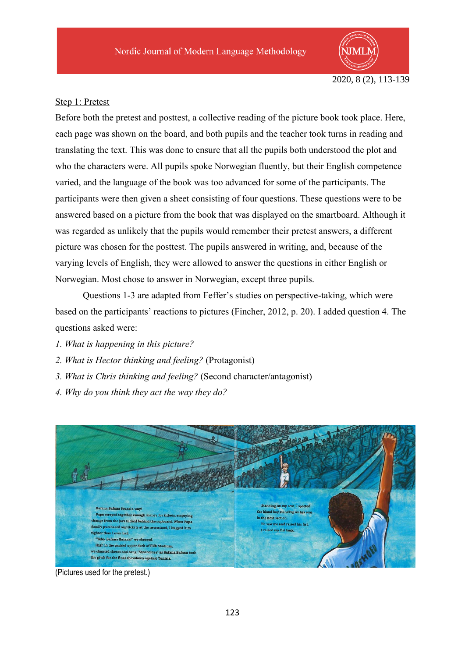

### Step 1: Pretest

Before both the pretest and posttest, a collective reading of the picture book took place. Here, each page was shown on the board, and both pupils and the teacher took turns in reading and translating the text. This was done to ensure that all the pupils both understood the plot and who the characters were. All pupils spoke Norwegian fluently, but their English competence varied, and the language of the book was too advanced for some of the participants. The participants were then given a sheet consisting of four questions. These questions were to be answered based on a picture from the book that was displayed on the smartboard. Although it was regarded as unlikely that the pupils would remember their pretest answers, a different picture was chosen for the posttest. The pupils answered in writing, and, because of the varying levels of English, they were allowed to answer the questions in either English or Norwegian. Most chose to answer in Norwegian, except three pupils.

Questions 1-3 are adapted from Feffer's studies on perspective-taking, which were based on the participants' reactions to pictures (Fincher, 2012, p. 20). I added question 4. The questions asked were:

- *1. What is happening in this picture?*
- *2. What is Hector thinking and feeling?* (Protagonist)
- *3. What is Chris thinking and feeling?* (Second character/antagonist)
- *4. Why do you think they act the way they do?*



(Pictures used for the pretest.)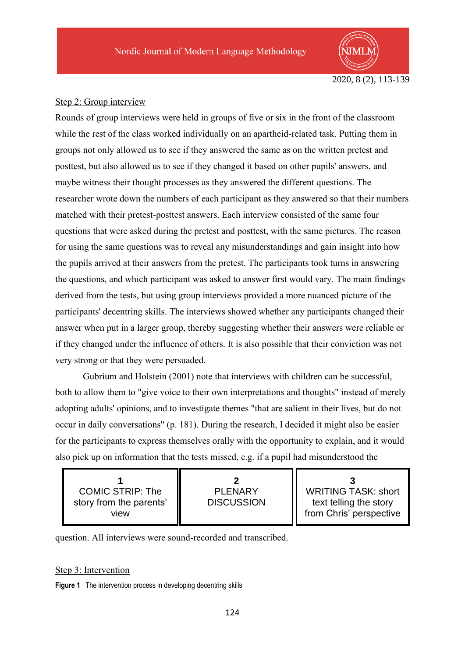

### Step 2: Group interview

Rounds of group interviews were held in groups of five or six in the front of the classroom while the rest of the class worked individually on an apartheid-related task. Putting them in groups not only allowed us to see if they answered the same as on the written pretest and posttest, but also allowed us to see if they changed it based on other pupils' answers, and maybe witness their thought processes as they answered the different questions. The researcher wrote down the numbers of each participant as they answered so that their numbers matched with their pretest-posttest answers. Each interview consisted of the same four questions that were asked during the pretest and posttest, with the same pictures. The reason for using the same questions was to reveal any misunderstandings and gain insight into how the pupils arrived at their answers from the pretest. The participants took turns in answering the questions, and which participant was asked to answer first would vary. The main findings derived from the tests, but using group interviews provided a more nuanced picture of the participants' decentring skills. The interviews showed whether any participants changed their answer when put in a larger group, thereby suggesting whether their answers were reliable or if they changed under the influence of others. It is also possible that their conviction was not very strong or that they were persuaded.

Gubrium and Holstein (2001) note that interviews with children can be successful, both to allow them to "give voice to their own interpretations and thoughts" instead of merely adopting adults' opinions, and to investigate themes "that are salient in their lives, but do not occur in daily conversations" (p. 181). During the research, I decided it might also be easier for the participants to express themselves orally with the opportunity to explain, and it would also pick up on information that the tests missed, e.g. if a pupil had misunderstood the



question. All interviews were sound-recorded and transcribed.

# Step 3: Intervention

**Figure 1** The intervention process in developing decentring skills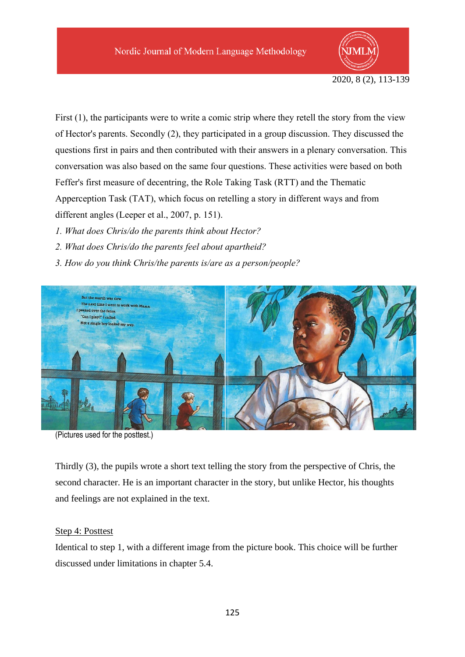

First (1), the participants were to write a comic strip where they retell the story from the view of Hector's parents. Secondly (2), they participated in a group discussion. They discussed the questions first in pairs and then contributed with their answers in a plenary conversation. This conversation was also based on the same four questions. These activities were based on both Feffer's first measure of decentring, the Role Taking Task (RTT) and the Thematic Apperception Task (TAT), which focus on retelling a story in different ways and from different angles (Leeper et al., 2007, p. 151).

- *1. What does Chris/do the parents think about Hector?*
- *2. What does Chris/do the parents feel about apartheid?*
- *3. How do you think Chris/the parents is/are as a person/people?*



(Pictures used for the posttest.)

Thirdly (3), the pupils wrote a short text telling the story from the perspective of Chris, the second character. He is an important character in the story, but unlike Hector, his thoughts and feelings are not explained in the text.

## Step 4: Posttest

Identical to step 1, with a different image from the picture book. This choice will be further discussed under limitations in chapter 5.4.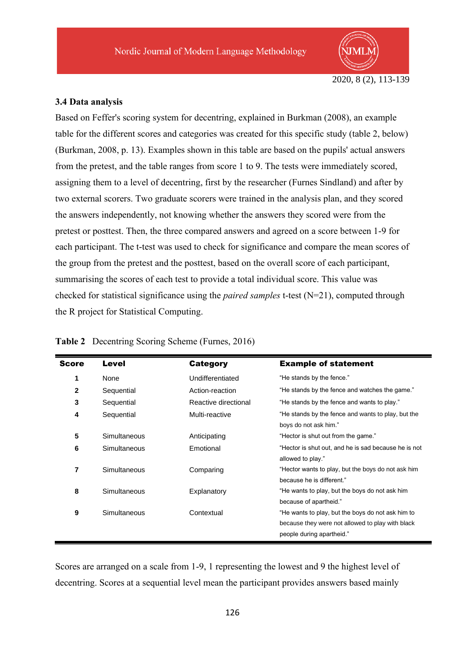

#### **3.4 Data analysis**

Based on Feffer's scoring system for decentring, explained in Burkman (2008), an example table for the different scores and categories was created for this specific study (table 2, below) (Burkman, 2008, p. 13). Examples shown in this table are based on the pupils' actual answers from the pretest, and the table ranges from score 1 to 9. The tests were immediately scored, assigning them to a level of decentring, first by the researcher (Furnes Sindland) and after by two external scorers. Two graduate scorers were trained in the analysis plan, and they scored the answers independently, not knowing whether the answers they scored were from the pretest or posttest. Then, the three compared answers and agreed on a score between 1-9 for each participant. The t-test was used to check for significance and compare the mean scores of the group from the pretest and the posttest, based on the overall score of each participant, summarising the scores of each test to provide a total individual score. This value was checked for statistical significance using the *paired samples* t-test (N=21), computed through the R project for Statistical Computing.

| <b>Score</b> | Level               | <b>Category</b>      | <b>Example of statement</b>                          |
|--------------|---------------------|----------------------|------------------------------------------------------|
| 1            | None                | Undifferentiated     | "He stands by the fence."                            |
| 2            | Sequential          | Action-reaction      | "He stands by the fence and watches the game."       |
| 3            | Sequential          | Reactive directional | "He stands by the fence and wants to play."          |
| 4            | Sequential          | Multi-reactive       | "He stands by the fence and wants to play, but the   |
|              |                     |                      | boys do not ask him."                                |
| 5            | Simultaneous        | Anticipating         | "Hector is shut out from the game."                  |
| 6            | Simultaneous        | Emotional            | "Hector is shut out, and he is sad because he is not |
|              |                     |                      | allowed to play."                                    |
| 7            | <b>Simultaneous</b> | Comparing            | "Hector wants to play, but the boys do not ask him   |
|              |                     |                      | because he is different."                            |
| 8            | Simultaneous        | Explanatory          | "He wants to play, but the boys do not ask him       |
|              |                     |                      | because of apartheid."                               |
| 9            | Simultaneous        | Contextual           | "He wants to play, but the boys do not ask him to    |
|              |                     |                      | because they were not allowed to play with black     |
|              |                     |                      | people during apartheid."                            |

**Table 2** Decentring Scoring Scheme (Furnes, 2016)

Scores are arranged on a scale from 1-9, 1 representing the lowest and 9 the highest level of decentring. Scores at a sequential level mean the participant provides answers based mainly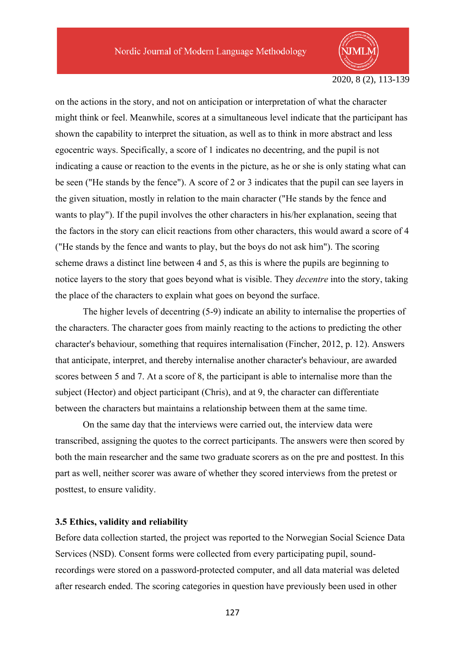

on the actions in the story, and not on anticipation or interpretation of what the character might think or feel. Meanwhile, scores at a simultaneous level indicate that the participant has shown the capability to interpret the situation, as well as to think in more abstract and less egocentric ways. Specifically, a score of 1 indicates no decentring, and the pupil is not indicating a cause or reaction to the events in the picture, as he or she is only stating what can be seen ("He stands by the fence"). A score of 2 or 3 indicates that the pupil can see layers in the given situation, mostly in relation to the main character ("He stands by the fence and wants to play"). If the pupil involves the other characters in his/her explanation, seeing that the factors in the story can elicit reactions from other characters, this would award a score of 4 ("He stands by the fence and wants to play, but the boys do not ask him"). The scoring scheme draws a distinct line between 4 and 5, as this is where the pupils are beginning to notice layers to the story that goes beyond what is visible. They *decentre* into the story, taking the place of the characters to explain what goes on beyond the surface.

The higher levels of decentring (5-9) indicate an ability to internalise the properties of the characters. The character goes from mainly reacting to the actions to predicting the other character's behaviour, something that requires internalisation (Fincher, 2012, p. 12). Answers that anticipate, interpret, and thereby internalise another character's behaviour, are awarded scores between 5 and 7. At a score of 8, the participant is able to internalise more than the subject (Hector) and object participant (Chris), and at 9, the character can differentiate between the characters but maintains a relationship between them at the same time.

On the same day that the interviews were carried out, the interview data were transcribed, assigning the quotes to the correct participants. The answers were then scored by both the main researcher and the same two graduate scorers as on the pre and posttest. In this part as well, neither scorer was aware of whether they scored interviews from the pretest or posttest, to ensure validity.

#### **3.5 Ethics, validity and reliability**

Before data collection started, the project was reported to the Norwegian Social Science Data Services (NSD). Consent forms were collected from every participating pupil, soundrecordings were stored on a password-protected computer, and all data material was deleted after research ended. The scoring categories in question have previously been used in other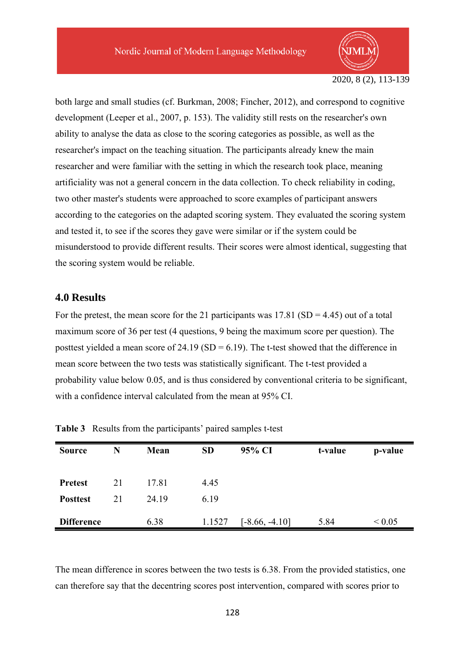

both large and small studies (cf. Burkman, 2008; Fincher, 2012), and correspond to cognitive development (Leeper et al., 2007, p. 153). The validity still rests on the researcher's own ability to analyse the data as close to the scoring categories as possible, as well as the researcher's impact on the teaching situation. The participants already knew the main researcher and were familiar with the setting in which the research took place, meaning artificiality was not a general concern in the data collection. To check reliability in coding, two other master's students were approached to score examples of participant answers according to the categories on the adapted scoring system. They evaluated the scoring system and tested it, to see if the scores they gave were similar or if the system could be misunderstood to provide different results. Their scores were almost identical, suggesting that the scoring system would be reliable.

## **4.0 Results**

For the pretest, the mean score for the 21 participants was  $17.81$  (SD = 4.45) out of a total maximum score of 36 per test (4 questions, 9 being the maximum score per question). The posttest yielded a mean score of  $24.19$  (SD = 6.19). The t-test showed that the difference in mean score between the two tests was statistically significant. The t-test provided a probability value below 0.05, and is thus considered by conventional criteria to be significant, with a confidence interval calculated from the mean at 95% CI.

| <b>Source</b>     | N  | Mean  | <b>SD</b> | 95% CI           | t-value | p-value    |
|-------------------|----|-------|-----------|------------------|---------|------------|
| <b>Pretest</b>    | 21 | 17.81 | 4.45      |                  |         |            |
| <b>Posttest</b>   | 21 | 24.19 | 6.19      |                  |         |            |
| <b>Difference</b> |    | 6.38  | 1.1527    | $[-8.66, -4.10]$ | 5.84    | ${}< 0.05$ |

**Table 3** Results from the participants' paired samples t-test

The mean difference in scores between the two tests is 6.38. From the provided statistics, one can therefore say that the decentring scores post intervention, compared with scores prior to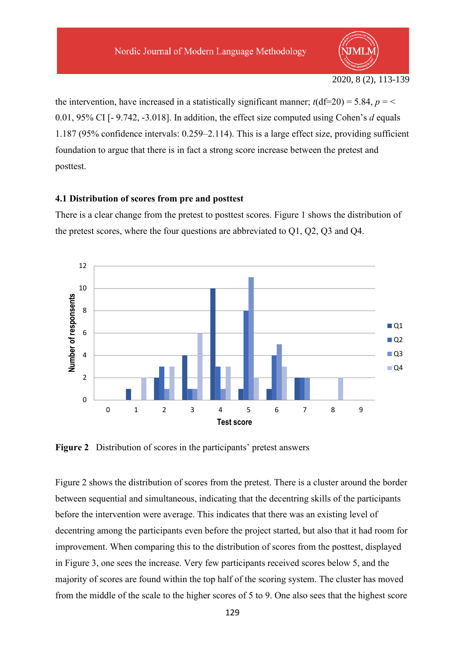

the intervention, have increased in a statistically significant manner;  $t(df=20) = 5.84$ ,  $p = \le$ 0.01, 95% CI [- 9.742, -3.018]. In addition, the effect size computed using Cohen's *d* equals 1.187 (95% confidence intervals: 0.259–2.114). This is a large effect size, providing sufficient foundation to argue that there is in fact a strong score increase between the pretest and posttest.

#### **4.1 Distribution of scores from pre and posttest**

There is a clear change from the pretest to posttest scores. Figure 1 shows the distribution of the pretest scores, where the four questions are abbreviated to Q1, Q2, Q3 and Q4.



**Figure 2** Distribution of scores in the participants' pretest answers

Figure 2 shows the distribution of scores from the pretest. There is a cluster around the border between sequential and simultaneous, indicating that the decentring skills of the participants before the intervention were average. This indicates that there was an existing level of decentring among the participants even before the project started, but also that it had room for improvement. When comparing this to the distribution of scores from the posttest, displayed in Figure 3, one sees the increase. Very few participants received scores below 5, and the majority of scores are found within the top half of the scoring system. The cluster has moved from the middle of the scale to the higher scores of 5 to 9. One also sees that the highest score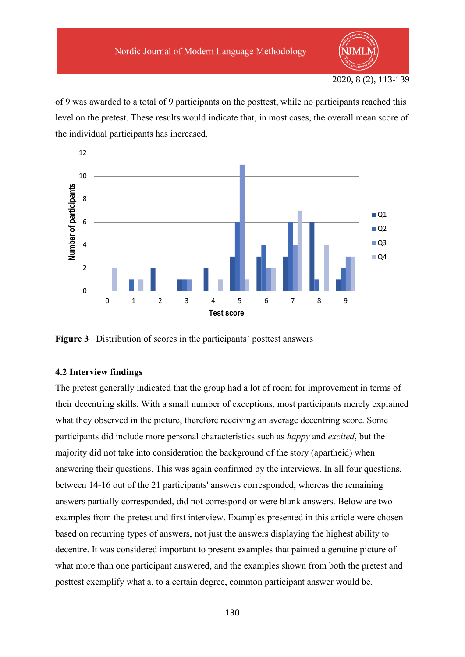

of 9 was awarded to a total of 9 participants on the posttest, while no participants reached this level on the pretest. These results would indicate that, in most cases, the overall mean score of the individual participants has increased.



**Figure 3** Distribution of scores in the participants' posttest answers

# **4.2 Interview findings**

The pretest generally indicated that the group had a lot of room for improvement in terms of their decentring skills. With a small number of exceptions, most participants merely explained what they observed in the picture, therefore receiving an average decentring score. Some participants did include more personal characteristics such as *happy* and *excited*, but the majority did not take into consideration the background of the story (apartheid) when answering their questions. This was again confirmed by the interviews. In all four questions, between 14-16 out of the 21 participants' answers corresponded, whereas the remaining answers partially corresponded, did not correspond or were blank answers. Below are two examples from the pretest and first interview. Examples presented in this article were chosen based on recurring types of answers, not just the answers displaying the highest ability to decentre. It was considered important to present examples that painted a genuine picture of what more than one participant answered, and the examples shown from both the pretest and posttest exemplify what a, to a certain degree, common participant answer would be.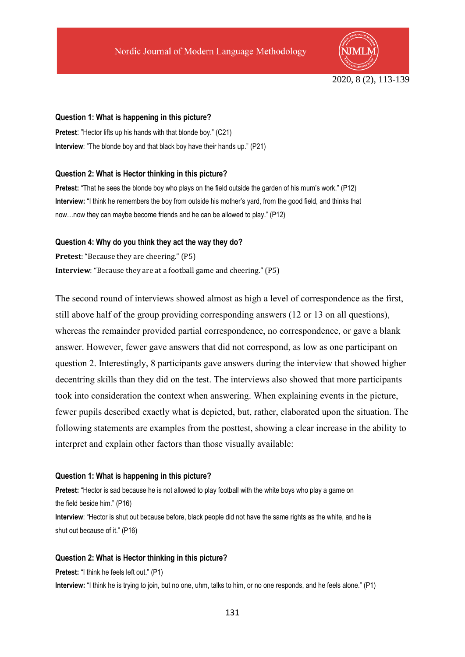

#### **Question 1: What is happening in this picture?**

**Pretest**: "Hector lifts up his hands with that blonde boy." (C21) **Interview**: "The blonde boy and that black boy have their hands up." (P21)

#### **Question 2: What is Hector thinking in this picture?**

**Pretest:** "That he sees the blonde boy who plays on the field outside the garden of his mum's work." (P12) **Interview:** "I think he remembers the boy from outside his mother's yard, from the good field, and thinks that now…now they can maybe become friends and he can be allowed to play." (P12)

#### **Question 4: Why do you think they act the way they do?**

**Pretest**: "Because they are cheering." (P5) **Interview**: "Because they are at a football game and cheering." (P5)

The second round of interviews showed almost as high a level of correspondence as the first, still above half of the group providing corresponding answers (12 or 13 on all questions), whereas the remainder provided partial correspondence, no correspondence, or gave a blank answer. However, fewer gave answers that did not correspond, as low as one participant on question 2. Interestingly, 8 participants gave answers during the interview that showed higher decentring skills than they did on the test. The interviews also showed that more participants took into consideration the context when answering. When explaining events in the picture, fewer pupils described exactly what is depicted, but, rather, elaborated upon the situation. The following statements are examples from the posttest, showing a clear increase in the ability to interpret and explain other factors than those visually available:

#### **Question 1: What is happening in this picture?**

**Pretest:** "Hector is sad because he is not allowed to play football with the white boys who play a game on the field beside him." (P16) **Interview**: "Hector is shut out because before, black people did not have the same rights as the white, and he is shut out because of it." (P16)

#### **Question 2: What is Hector thinking in this picture?**

**Pretest:** "I think he feels left out." (P1)

**Interview:** "I think he is trying to join, but no one, uhm, talks to him, or no one responds, and he feels alone." (P1)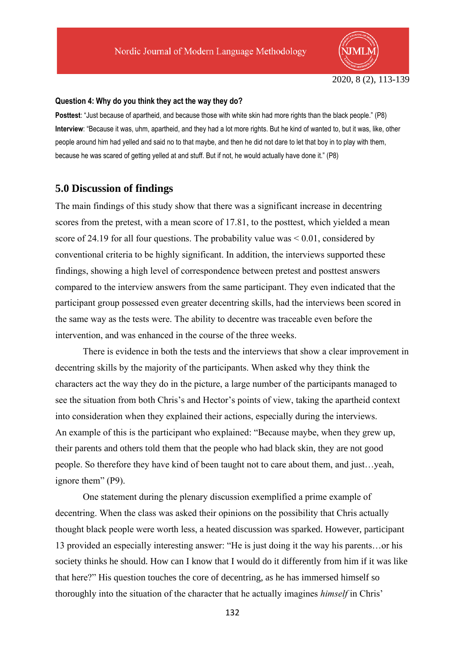

#### **Question 4: Why do you think they act the way they do?**

**Posttest**: "Just because of apartheid, and because those with white skin had more rights than the black people." (P8) **Interview**: "Because it was, uhm, apartheid, and they had a lot more rights. But he kind of wanted to, but it was, like, other people around him had yelled and said no to that maybe, and then he did not dare to let that boy in to play with them, because he was scared of getting yelled at and stuff. But if not, he would actually have done it." (P8)

# **5.0 Discussion of findings**

The main findings of this study show that there was a significant increase in decentring scores from the pretest, with a mean score of 17.81, to the posttest, which yielded a mean score of 24.19 for all four questions. The probability value was  $< 0.01$ , considered by conventional criteria to be highly significant. In addition, the interviews supported these findings, showing a high level of correspondence between pretest and posttest answers compared to the interview answers from the same participant. They even indicated that the participant group possessed even greater decentring skills, had the interviews been scored in the same way as the tests were. The ability to decentre was traceable even before the intervention, and was enhanced in the course of the three weeks.

There is evidence in both the tests and the interviews that show a clear improvement in decentring skills by the majority of the participants. When asked why they think the characters act the way they do in the picture, a large number of the participants managed to see the situation from both Chris's and Hector's points of view, taking the apartheid context into consideration when they explained their actions, especially during the interviews. An example of this is the participant who explained: "Because maybe, when they grew up, their parents and others told them that the people who had black skin, they are not good people. So therefore they have kind of been taught not to care about them, and just…yeah, ignore them" (P9).

One statement during the plenary discussion exemplified a prime example of decentring. When the class was asked their opinions on the possibility that Chris actually thought black people were worth less, a heated discussion was sparked. However, participant 13 provided an especially interesting answer: "He is just doing it the way his parents…or his society thinks he should. How can I know that I would do it differently from him if it was like that here?" His question touches the core of decentring, as he has immersed himself so thoroughly into the situation of the character that he actually imagines *himself* in Chris'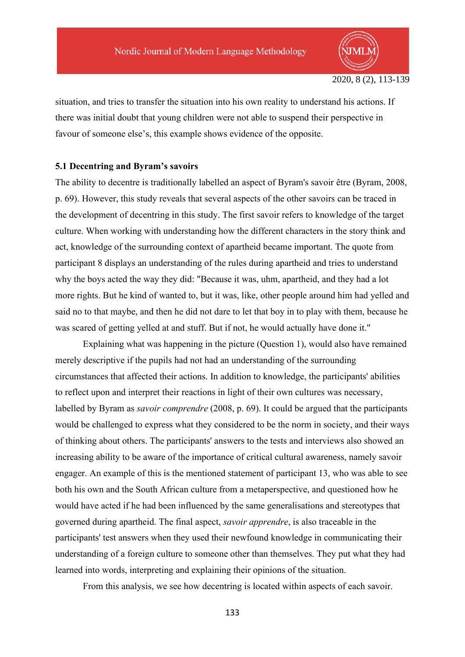

situation, and tries to transfer the situation into his own reality to understand his actions. If there was initial doubt that young children were not able to suspend their perspective in favour of someone else's, this example shows evidence of the opposite.

### **5.1 Decentring and Byram's savoirs**

The ability to decentre is traditionally labelled an aspect of Byram's savoir être (Byram, 2008, p. 69). However, this study reveals that several aspects of the other savoirs can be traced in the development of decentring in this study. The first savoir refers to knowledge of the target culture. When working with understanding how the different characters in the story think and act, knowledge of the surrounding context of apartheid became important. The quote from participant 8 displays an understanding of the rules during apartheid and tries to understand why the boys acted the way they did: "Because it was, uhm, apartheid, and they had a lot more rights. But he kind of wanted to, but it was, like, other people around him had yelled and said no to that maybe, and then he did not dare to let that boy in to play with them, because he was scared of getting yelled at and stuff. But if not, he would actually have done it."

Explaining what was happening in the picture (Question 1), would also have remained merely descriptive if the pupils had not had an understanding of the surrounding circumstances that affected their actions. In addition to knowledge, the participants' abilities to reflect upon and interpret their reactions in light of their own cultures was necessary, labelled by Byram as *savoir comprendre* (2008, p. 69). It could be argued that the participants would be challenged to express what they considered to be the norm in society, and their ways of thinking about others. The participants' answers to the tests and interviews also showed an increasing ability to be aware of the importance of critical cultural awareness, namely savoir engager. An example of this is the mentioned statement of participant 13, who was able to see both his own and the South African culture from a metaperspective, and questioned how he would have acted if he had been influenced by the same generalisations and stereotypes that governed during apartheid. The final aspect, *savoir apprendre*, is also traceable in the participants' test answers when they used their newfound knowledge in communicating their understanding of a foreign culture to someone other than themselves. They put what they had learned into words, interpreting and explaining their opinions of the situation.

From this analysis, we see how decentring is located within aspects of each savoir.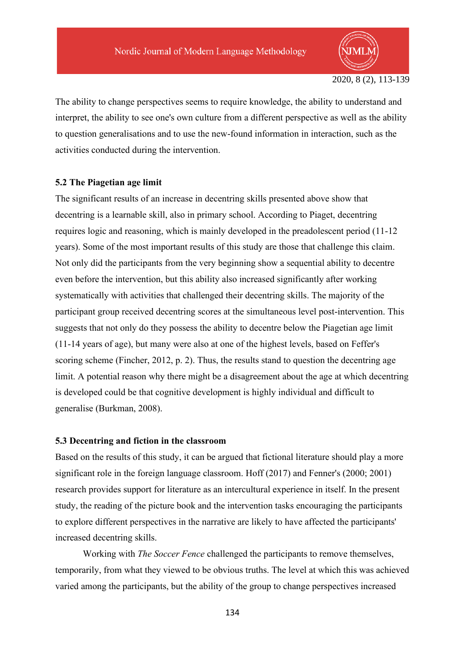

The ability to change perspectives seems to require knowledge, the ability to understand and interpret, the ability to see one's own culture from a different perspective as well as the ability to question generalisations and to use the new-found information in interaction, such as the activities conducted during the intervention.

### **5.2 The Piagetian age limit**

The significant results of an increase in decentring skills presented above show that decentring is a learnable skill, also in primary school. According to Piaget, decentring requires logic and reasoning, which is mainly developed in the preadolescent period (11-12 years). Some of the most important results of this study are those that challenge this claim. Not only did the participants from the very beginning show a sequential ability to decentre even before the intervention, but this ability also increased significantly after working systematically with activities that challenged their decentring skills. The majority of the participant group received decentring scores at the simultaneous level post-intervention. This suggests that not only do they possess the ability to decentre below the Piagetian age limit (11-14 years of age), but many were also at one of the highest levels, based on Feffer's scoring scheme (Fincher, 2012, p. 2). Thus, the results stand to question the decentring age limit. A potential reason why there might be a disagreement about the age at which decentring is developed could be that cognitive development is highly individual and difficult to generalise (Burkman, 2008).

### **5.3 Decentring and fiction in the classroom**

Based on the results of this study, it can be argued that fictional literature should play a more significant role in the foreign language classroom. Hoff (2017) and Fenner's (2000; 2001) research provides support for literature as an intercultural experience in itself. In the present study, the reading of the picture book and the intervention tasks encouraging the participants to explore different perspectives in the narrative are likely to have affected the participants' increased decentring skills.

Working with *The Soccer Fence* challenged the participants to remove themselves, temporarily, from what they viewed to be obvious truths. The level at which this was achieved varied among the participants, but the ability of the group to change perspectives increased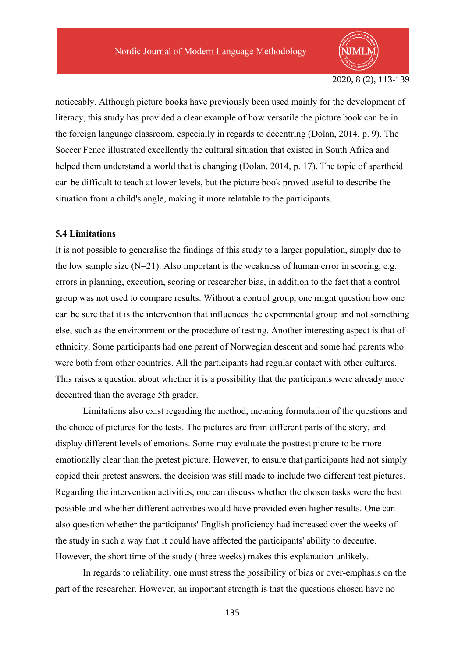

noticeably. Although picture books have previously been used mainly for the development of literacy, this study has provided a clear example of how versatile the picture book can be in the foreign language classroom, especially in regards to decentring (Dolan, 2014, p. 9). The Soccer Fence illustrated excellently the cultural situation that existed in South Africa and helped them understand a world that is changing (Dolan, 2014, p. 17). The topic of apartheid can be difficult to teach at lower levels, but the picture book proved useful to describe the situation from a child's angle, making it more relatable to the participants.

#### **5.4 Limitations**

It is not possible to generalise the findings of this study to a larger population, simply due to the low sample size  $(N=21)$ . Also important is the weakness of human error in scoring, e.g. errors in planning, execution, scoring or researcher bias, in addition to the fact that a control group was not used to compare results. Without a control group, one might question how one can be sure that it is the intervention that influences the experimental group and not something else, such as the environment or the procedure of testing. Another interesting aspect is that of ethnicity. Some participants had one parent of Norwegian descent and some had parents who were both from other countries. All the participants had regular contact with other cultures. This raises a question about whether it is a possibility that the participants were already more decentred than the average 5th grader.

Limitations also exist regarding the method, meaning formulation of the questions and the choice of pictures for the tests. The pictures are from different parts of the story, and display different levels of emotions. Some may evaluate the posttest picture to be more emotionally clear than the pretest picture. However, to ensure that participants had not simply copied their pretest answers, the decision was still made to include two different test pictures. Regarding the intervention activities, one can discuss whether the chosen tasks were the best possible and whether different activities would have provided even higher results. One can also question whether the participants' English proficiency had increased over the weeks of the study in such a way that it could have affected the participants' ability to decentre. However, the short time of the study (three weeks) makes this explanation unlikely.

In regards to reliability, one must stress the possibility of bias or over-emphasis on the part of the researcher. However, an important strength is that the questions chosen have no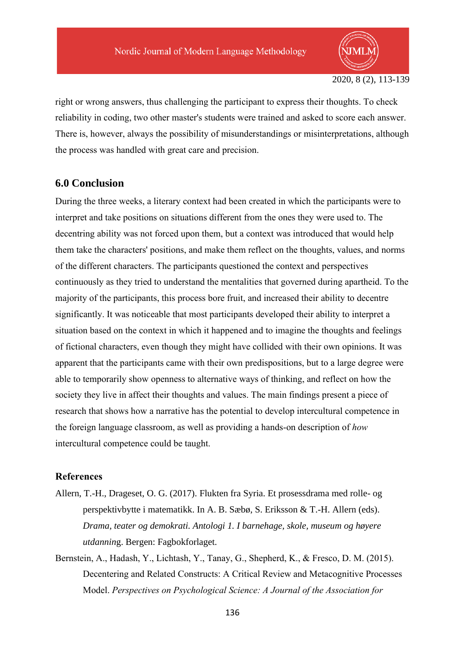

right or wrong answers, thus challenging the participant to express their thoughts. To check reliability in coding, two other master's students were trained and asked to score each answer. There is, however, always the possibility of misunderstandings or misinterpretations, although the process was handled with great care and precision.

# **6.0 Conclusion**

During the three weeks, a literary context had been created in which the participants were to interpret and take positions on situations different from the ones they were used to. The decentring ability was not forced upon them, but a context was introduced that would help them take the characters' positions, and make them reflect on the thoughts, values, and norms of the different characters. The participants questioned the context and perspectives continuously as they tried to understand the mentalities that governed during apartheid. To the majority of the participants, this process bore fruit, and increased their ability to decentre significantly. It was noticeable that most participants developed their ability to interpret a situation based on the context in which it happened and to imagine the thoughts and feelings of fictional characters, even though they might have collided with their own opinions. It was apparent that the participants came with their own predispositions, but to a large degree were able to temporarily show openness to alternative ways of thinking, and reflect on how the society they live in affect their thoughts and values. The main findings present a piece of research that shows how a narrative has the potential to develop intercultural competence in the foreign language classroom, as well as providing a hands-on description of *how* intercultural competence could be taught.

# **References**

- Allern, T.-H., Drageset, O. G. (2017). Flukten fra Syria. Et prosessdrama med rolle- og perspektivbytte i matematikk. In A. B. Sæbø, S. Eriksson & T.-H. Allern (eds). *Drama, teater og demokrati. Antologi 1. I barnehage, skole, museum og høyere utdannin*g. Bergen: Fagbokforlaget.
- Bernstein, A., Hadash, Y., Lichtash, Y., Tanay, G., Shepherd, K., & Fresco, D. M. (2015). Decentering and Related Constructs: A Critical Review and Metacognitive Processes Model. *Perspectives on Psychological Science: A Journal of the Association for*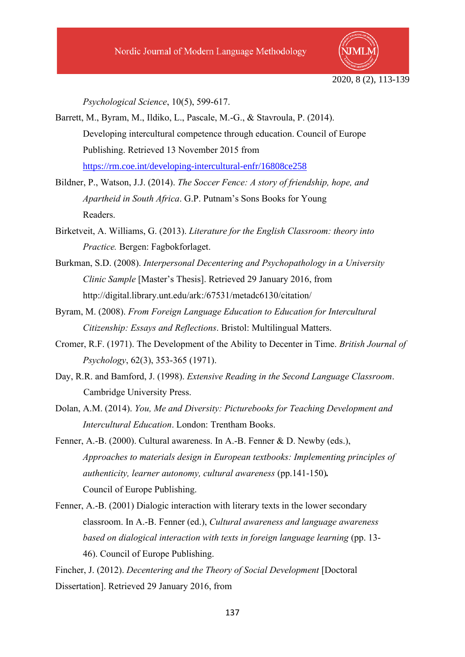

*Psychological Science*, 10(5), 599-617.

- Barrett, M., Byram, M., Ildiko, L., Pascale, M.-G., & Stavroula, P. (2014). Developing intercultural competence through education. Council of Europe Publishing. Retrieved 13 November 2015 from <https://rm.coe.int/developing-intercultural-enfr/16808ce258>
- Bildner, P., Watson, J.J. (2014). *The Soccer Fence: A story of friendship, hope, and Apartheid in South Africa*. G.P. Putnam's Sons Books for Young Readers.
- Birketveit, A. Williams, G. (2013). *Literature for the English Classroom: theory into Practice.* Bergen: Fagbokforlaget.
- Burkman, S.D. (2008). *Interpersonal Decentering and Psychopathology in a University Clinic Sample* [Master's Thesis]. Retrieved 29 January 2016, from http://digital.library.unt.edu/ark:/67531/metadc6130/citation/
- Byram, M. (2008). *From Foreign Language Education to Education for Intercultural Citizenship: Essays and Reflections*. Bristol: Multilingual Matters.
- Cromer, R.F. (1971). The Development of the Ability to Decenter in Time. *British Journal of Psychology*, 62(3), 353-365 (1971).
- Day, R.R. and Bamford, J. (1998). *Extensive Reading in the Second Language Classroom*. Cambridge University Press.
- Dolan, A.M. (2014). *You, Me and Diversity: Picturebooks for Teaching Development and Intercultural Education*. London: Trentham Books.
- Fenner, A.-B. (2000). Cultural awareness. In A.-B. Fenner & D. Newby (eds.), *Approaches to materials design in European textbooks: Implementing principles of authenticity, learner autonomy, cultural awareness* (pp.141-150)*.*  Council of Europe Publishing.
- Fenner, A.-B. (2001) Dialogic interaction with literary texts in the lower secondary classroom. In A.-B. Fenner (ed.), *Cultural awareness and language awareness based on dialogical interaction with texts in foreign language learning (pp. 13-*46). Council of Europe Publishing.

Fincher, J. (2012). *Decentering and the Theory of Social Development* [Doctoral Dissertation]. Retrieved 29 January 2016, from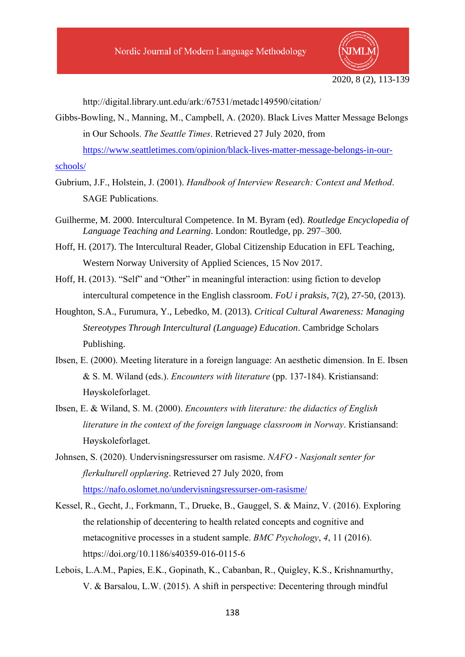

http://digital.library.unt.edu/ark:/67531/metadc149590/citation/

Gibbs-Bowling, N., Manning, M., Campbell, A. (2020). Black Lives Matter Message Belongs in Our Schools. *The Seattle Times*. Retrieved 27 July 2020, from

[https://www.seattletimes.com/opinion/black-lives-matter-message-belongs-in-our-](https://www.seattletimes.com/opinion/black-lives-matter-message-belongs-in-our-schools/)

[schools/](https://www.seattletimes.com/opinion/black-lives-matter-message-belongs-in-our-schools/)

- Gubrium, J.F., Holstein, J. (2001). *Handbook of Interview Research: Context and Method*. SAGE Publications.
- Guilherme, M. 2000. Intercultural Competence. In M. Byram (ed). *Routledge Encyclopedia of Language Teaching and Learning*. London: Routledge, pp. 297–300.
- Hoff, H. (2017). The Intercultural Reader, Global Citizenship Education in EFL Teaching*,* Western Norway University of Applied Sciences, 15 Nov 2017.
- Hoff, H. (2013). "Self" and "Other" in meaningful interaction: using fiction to develop intercultural competence in the English classroom. *FoU i praksis*, 7(2), 27-50, (2013).
- Houghton, S.A., Furumura, Y., Lebedko, M. (2013). *Critical Cultural Awareness: Managing Stereotypes Through Intercultural (Language) Education*. Cambridge Scholars Publishing.
- Ibsen, E. (2000). Meeting literature in a foreign language: An aesthetic dimension. In E. Ibsen & S. M. Wiland (eds.). *Encounters with literature* (pp. 137-184). Kristiansand: Høyskoleforlaget.
- Ibsen, E. & Wiland, S. M. (2000). *Encounters with literature: the didactics of English literature in the context of the foreign language classroom in Norway*. Kristiansand: Høyskoleforlaget.
- Johnsen, S. (2020). Undervisningsressurser om rasisme. *NAFO - Nasjonalt senter for flerkulturell opplæring*. Retrieved 27 July 2020, from <https://nafo.oslomet.no/undervisningsressurser-om-rasisme/>
- Kessel, R., Gecht, J., Forkmann, T., Drueke, B., Gauggel, S. & Mainz, V. (2016). Exploring the relationship of decentering to health related concepts and cognitive and metacognitive processes in a student sample. *BMC Psychology*, *4*, 11 (2016). https://doi.org/10.1186/s40359-016-0115-6
- Lebois, L.A.M., Papies, E.K., Gopinath, K., Cabanban, R., Quigley, K.S., Krishnamurthy, V. & Barsalou, L.W. (2015). A shift in perspective: Decentering through mindful